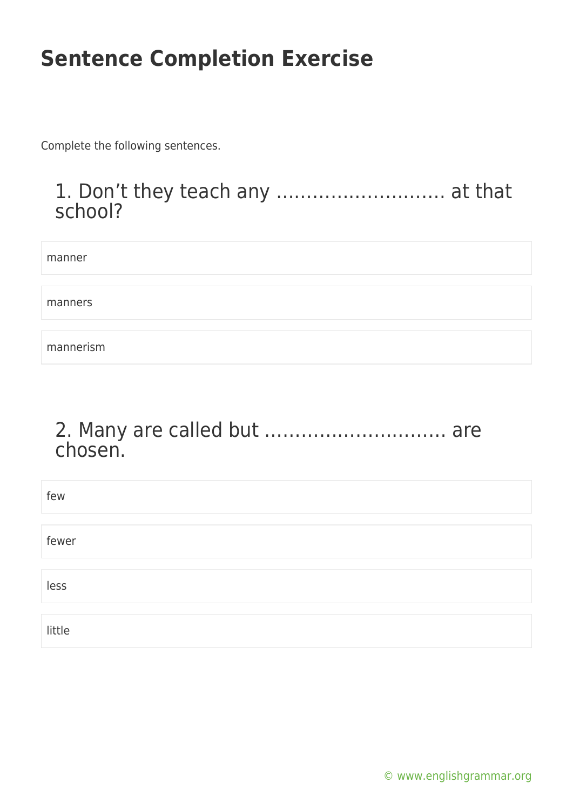Complete the following sentences.

#### 1. Don't they teach any ………………………. at that school?

manner manners mannerism

#### 2. Many are called but ………………………… are chosen.

| few    |  |
|--------|--|
|        |  |
| fewer  |  |
|        |  |
| less   |  |
|        |  |
| little |  |

[© www.englishgrammar.org](https://www.englishgrammar.org/)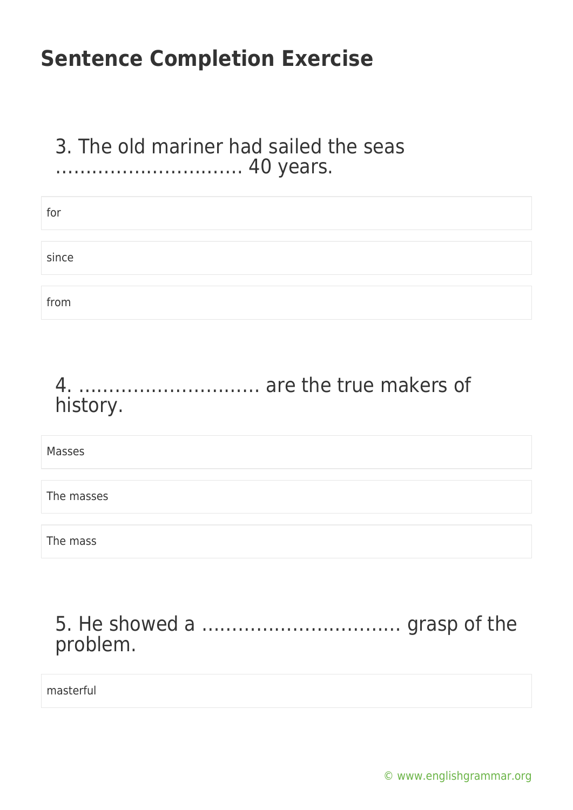#### 3. The old mariner had sailed the seas …………………………. 40 years.

| for   |  |  |
|-------|--|--|
|       |  |  |
| since |  |  |
|       |  |  |
| from  |  |  |
|       |  |  |

#### 4. ………………………… are the true makers of history.

Masses

The masses

The mass

#### 5. He showed a …………………………… grasp of the problem.

masterful

[© www.englishgrammar.org](https://www.englishgrammar.org/)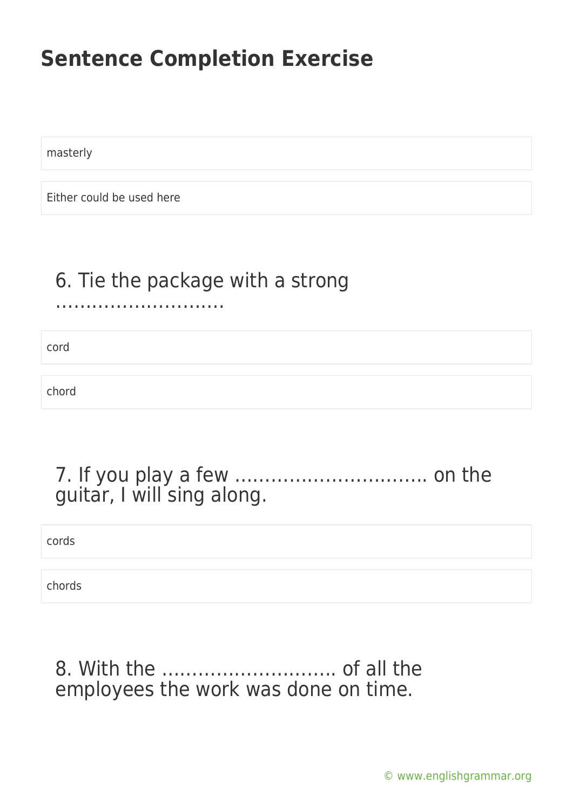masterly

Either could be used here

#### 6. Tie the package with a strong

……………………….

cord

chord

| guitar, I will sing along. |  |
|----------------------------|--|

cords

chords

#### 8. With the ……………………….. of all the employees the work was done on time.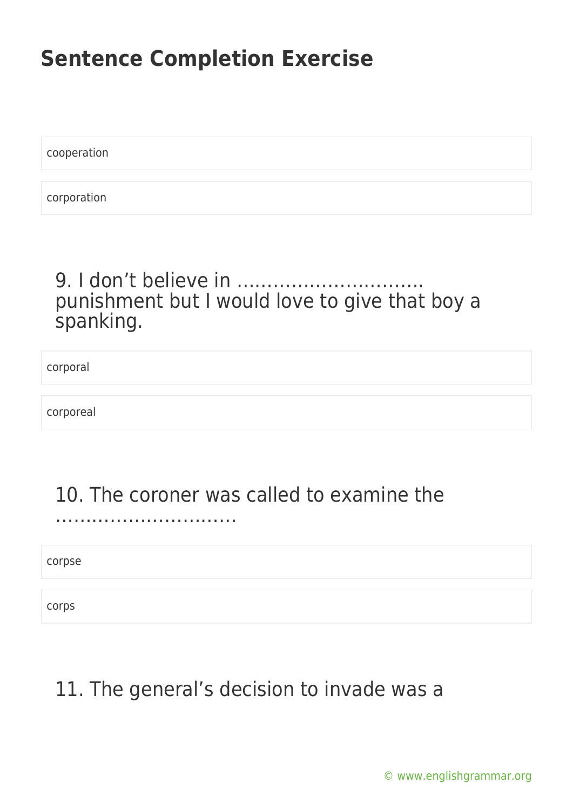cooperation

corporation

#### 9. I don't believe in ……… punishment but I would love to give that boy a spanking.

corporal

corporeal

### 10. The coroner was called to examine the

corpse

……………………………………

corps

### 11. The general's decision to invade was a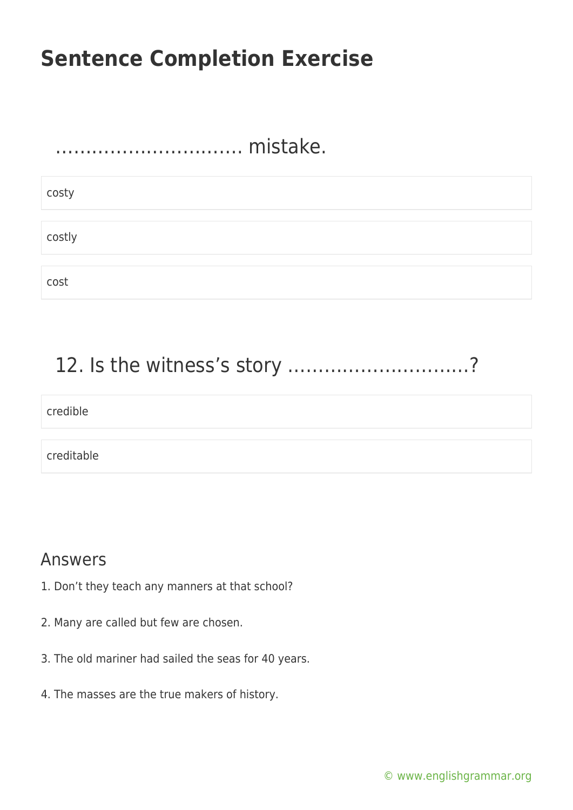# …………………………. mistake. costy costly cost

### 12. Is the witness's story …………………………?

## credible creditable

#### Answers

- 1. Don't they teach any manners at that school?
- 2. Many are called but few are chosen.
- 3. The old mariner had sailed the seas for 40 years.
- 4. The masses are the true makers of history.